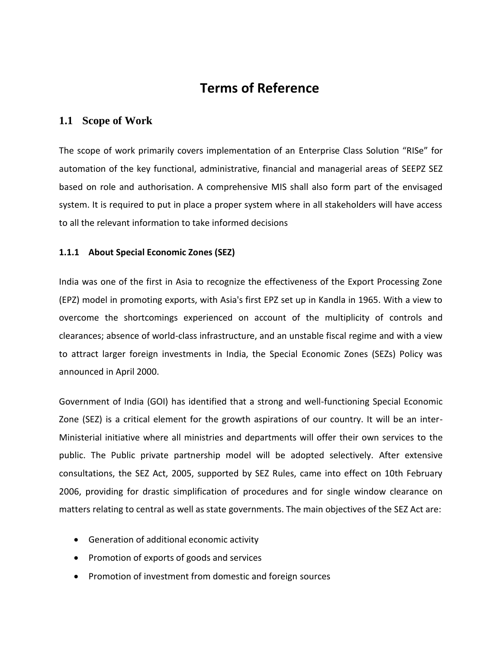# **Terms of Reference**

## **1.1 Scope of Work**

The scope of work primarily covers implementation of an Enterprise Class Solution "RISe" for automation of the key functional, administrative, financial and managerial areas of SEEPZ SEZ based on role and authorisation. A comprehensive MIS shall also form part of the envisaged system. It is required to put in place a proper system where in all stakeholders will have access to all the relevant information to take informed decisions

## **1.1.1 About Special Economic Zones (SEZ)**

India was one of the first in Asia to recognize the effectiveness of the Export Processing Zone (EPZ) model in promoting exports, with Asia's first EPZ set up in Kandla in 1965. With a view to overcome the shortcomings experienced on account of the multiplicity of controls and clearances; absence of world-class infrastructure, and an unstable fiscal regime and with a view to attract larger foreign investments in India, the Special Economic Zones (SEZs) Policy was announced in April 2000.

Government of India (GOI) has identified that a strong and well-functioning Special Economic Zone (SEZ) is a critical element for the growth aspirations of our country. It will be an inter-Ministerial initiative where all ministries and departments will offer their own services to the public. The Public private partnership model will be adopted selectively. After extensive consultations, the SEZ Act, 2005, supported by SEZ Rules, came into effect on 10th February 2006, providing for drastic simplification of procedures and for single window clearance on matters relating to central as well as state governments. The main objectives of the SEZ Act are:

- Generation of additional economic activity
- Promotion of exports of goods and services
- Promotion of investment from domestic and foreign sources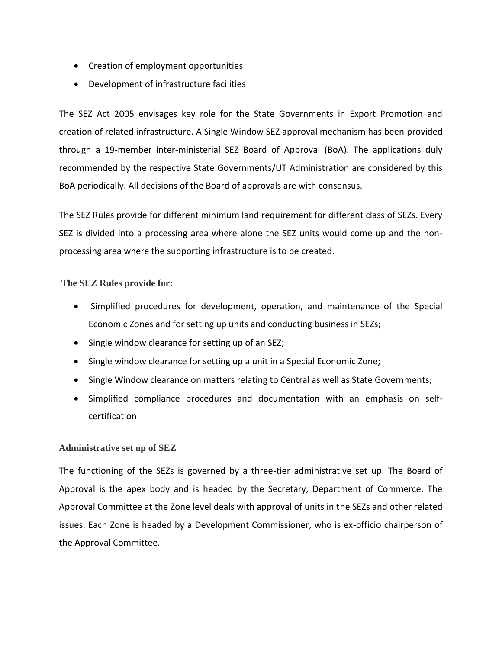- Creation of employment opportunities
- Development of infrastructure facilities

The SEZ Act 2005 envisages key role for the State Governments in Export Promotion and creation of related infrastructure. A Single Window SEZ approval mechanism has been provided through a 19-member inter-ministerial SEZ Board of Approval (BoA). The applications duly recommended by the respective State Governments/UT Administration are considered by this BoA periodically. All decisions of the Board of approvals are with consensus.

The SEZ Rules provide for different minimum land requirement for different class of SEZs. Every SEZ is divided into a processing area where alone the SEZ units would come up and the nonprocessing area where the supporting infrastructure is to be created.

**The SEZ Rules provide for:**

- Simplified procedures for development, operation, and maintenance of the Special Economic Zones and for setting up units and conducting business in SEZs;
- Single window clearance for setting up of an SEZ;
- Single window clearance for setting up a unit in a Special Economic Zone;
- Single Window clearance on matters relating to Central as well as State Governments;
- Simplified compliance procedures and documentation with an emphasis on selfcertification

### **Administrative set up of SEZ**

The functioning of the SEZs is governed by a three-tier administrative set up. The Board of Approval is the apex body and is headed by the Secretary, Department of Commerce. The Approval Committee at the Zone level deals with approval of units in the SEZs and other related issues. Each Zone is headed by a Development Commissioner, who is ex-officio chairperson of the Approval Committee.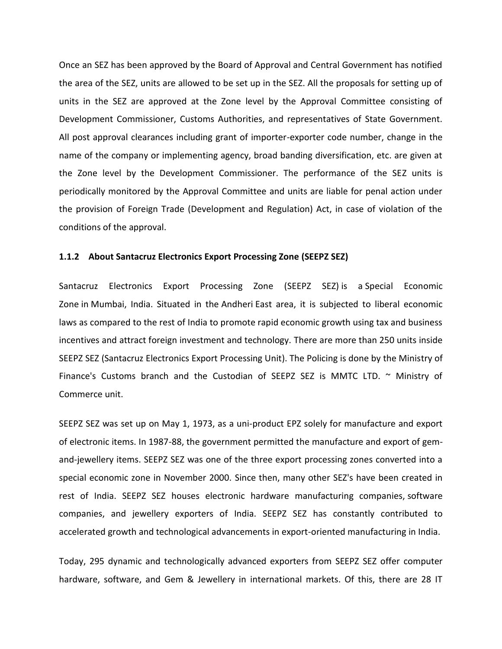Once an SEZ has been approved by the Board of Approval and Central Government has notified the area of the SEZ, units are allowed to be set up in the SEZ. All the proposals for setting up of units in the SEZ are approved at the Zone level by the Approval Committee consisting of Development Commissioner, Customs Authorities, and representatives of State Government. All post approval clearances including grant of importer-exporter code number, change in the name of the company or implementing agency, broad banding diversification, etc. are given at the Zone level by the Development Commissioner. The performance of the SEZ units is periodically monitored by the Approval Committee and units are liable for penal action under the provision of Foreign Trade (Development and Regulation) Act, in case of violation of the conditions of the approval.

#### **1.1.2 About Santacruz Electronics Export Processing Zone (SEEPZ SEZ)**

Santacruz Electronics Export Processing Zone (SEEPZ SEZ) is a Special Economic Zone in Mumbai, India. Situated in the Andheri East area, it is subjected to liberal economic laws as compared to the rest of India to promote rapid economic growth using tax and business incentives and attract foreign investment and technology. There are more than 250 units inside SEEPZ SEZ (Santacruz Electronics Export Processing Unit). The Policing is done by the Ministry of Finance's Customs branch and the Custodian of SEEPZ SEZ is MMTC LTD.  $\sim$  Ministry of Commerce unit.

SEEPZ SEZ was set up on May 1, 1973, as a uni-product EPZ solely for manufacture and export of electronic items. In 1987-88, the government permitted the manufacture and export of gemand-jewellery items. SEEPZ SEZ was one of the three export processing zones converted into a special economic zone in November 2000. Since then, many other SEZ's have been created in rest of India. SEEPZ SEZ houses electronic hardware manufacturing companies, software companies, and jewellery exporters of India. SEEPZ SEZ has constantly contributed to accelerated growth and technological advancements in export-oriented manufacturing in India.

Today, 295 dynamic and technologically advanced exporters from SEEPZ SEZ offer computer hardware, software, and Gem & Jewellery in international markets. Of this, there are 28 IT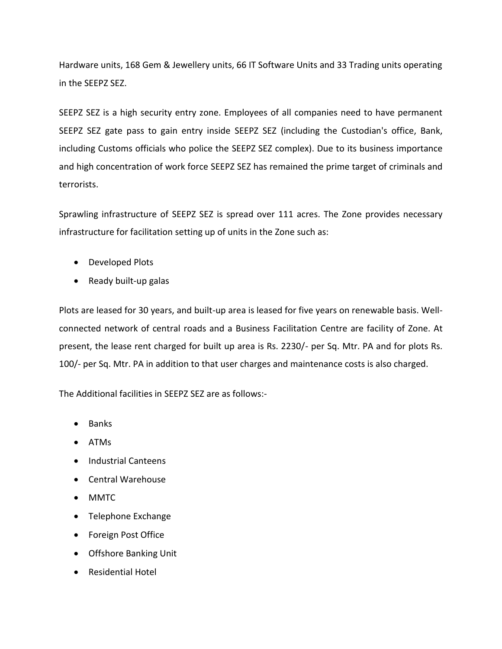Hardware units, 168 Gem & Jewellery units, 66 IT Software Units and 33 Trading units operating in the SEEPZ SEZ.

SEEPZ SEZ is a high security entry zone. Employees of all companies need to have permanent SEEPZ SEZ gate pass to gain entry inside SEEPZ SEZ (including the Custodian's office, Bank, including Customs officials who police the SEEPZ SEZ complex). Due to its business importance and high concentration of work force SEEPZ SEZ has remained the prime target of criminals and terrorists.

Sprawling infrastructure of SEEPZ SEZ is spread over 111 acres. The Zone provides necessary infrastructure for facilitation setting up of units in the Zone such as:

- Developed Plots
- $\bullet$  Ready built-up galas

Plots are leased for 30 years, and built-up area is leased for five years on renewable basis. Wellconnected network of central roads and a Business Facilitation Centre are facility of Zone. At present, the lease rent charged for built up area is Rs. 2230/- per Sq. Mtr. PA and for plots Rs. 100/- per Sq. Mtr. PA in addition to that user charges and maintenance costs is also charged.

The Additional facilities in SEEPZ SEZ are as follows:-

- Banks
- ATMs
- Industrial Canteens
- Central Warehouse
- MMTC
- Telephone Exchange
- Foreign Post Office
- Offshore Banking Unit
- Residential Hotel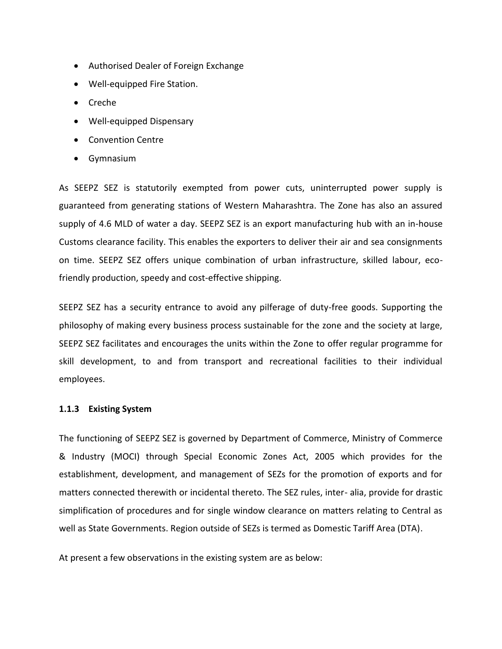- Authorised Dealer of Foreign Exchange
- Well-equipped Fire Station.
- Creche
- Well-equipped Dispensary
- Convention Centre
- Gymnasium

As SEEPZ SEZ is statutorily exempted from power cuts, uninterrupted power supply is guaranteed from generating stations of Western Maharashtra. The Zone has also an assured supply of 4.6 MLD of water a day. SEEPZ SEZ is an export manufacturing hub with an in-house Customs clearance facility. This enables the exporters to deliver their air and sea consignments on time. SEEPZ SEZ offers unique combination of urban infrastructure, skilled labour, ecofriendly production, speedy and cost-effective shipping.

SEEPZ SEZ has a security entrance to avoid any pilferage of duty-free goods. Supporting the philosophy of making every business process sustainable for the zone and the society at large, SEEPZ SEZ facilitates and encourages the units within the Zone to offer regular programme for skill development, to and from transport and recreational facilities to their individual employees.

#### **1.1.3 Existing System**

The functioning of SEEPZ SEZ is governed by Department of Commerce, Ministry of Commerce & Industry (MOCI) through Special Economic Zones Act, 2005 which provides for the establishment, development, and management of SEZs for the promotion of exports and for matters connected therewith or incidental thereto. The SEZ rules, inter- alia, provide for drastic simplification of procedures and for single window clearance on matters relating to Central as well as State Governments. Region outside of SEZs is termed as Domestic Tariff Area (DTA).

At present a few observations in the existing system are as below: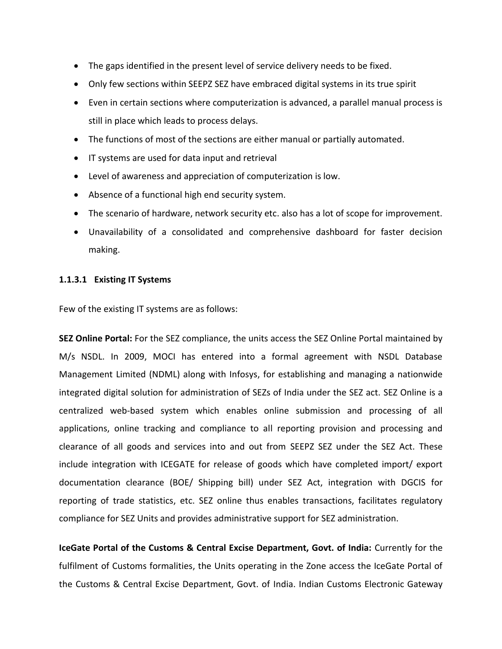- The gaps identified in the present level of service delivery needs to be fixed.
- Only few sections within SEEPZ SEZ have embraced digital systems in its true spirit
- Even in certain sections where computerization is advanced, a parallel manual process is still in place which leads to process delays.
- The functions of most of the sections are either manual or partially automated.
- IT systems are used for data input and retrieval
- Level of awareness and appreciation of computerization is low.
- Absence of a functional high end security system.
- The scenario of hardware, network security etc. also has a lot of scope for improvement.
- Unavailability of a consolidated and comprehensive dashboard for faster decision making.

#### **1.1.3.1 Existing IT Systems**

Few of the existing IT systems are as follows:

**SEZ Online Portal:** For the SEZ compliance, the units access the SEZ Online Portal maintained by M/s NSDL. In 2009, MOCI has entered into a formal agreement with NSDL Database Management Limited (NDML) along with Infosys, for establishing and managing a nationwide integrated digital solution for administration of SEZs of India under the SEZ act. SEZ Online is a centralized web-based system which enables online submission and processing of all applications, online tracking and compliance to all reporting provision and processing and clearance of all goods and services into and out from SEEPZ SEZ under the SEZ Act. These include integration with ICEGATE for release of goods which have completed import/ export documentation clearance (BOE/ Shipping bill) under SEZ Act, integration with DGCIS for reporting of trade statistics, etc. SEZ online thus enables transactions, facilitates regulatory compliance for SEZ Units and provides administrative support for SEZ administration.

**IceGate Portal of the Customs & Central Excise Department, Govt. of India:** Currently for the fulfilment of Customs formalities, the Units operating in the Zone access the IceGate Portal of the Customs & Central Excise Department, Govt. of India. Indian Customs Electronic Gateway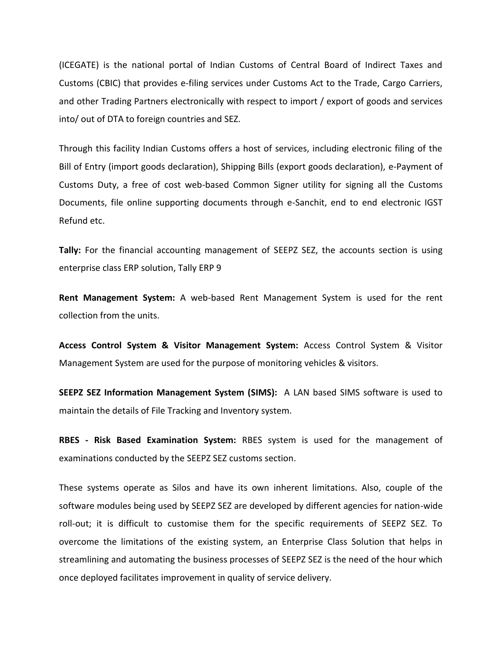(ICEGATE) is the national portal of Indian Customs of Central Board of Indirect Taxes and Customs (CBIC) that provides e-filing services under Customs Act to the Trade, Cargo Carriers, and other Trading Partners electronically with respect to import / export of goods and services into/ out of DTA to foreign countries and SEZ.

Through this facility Indian Customs offers a host of services, including electronic filing of the Bill of Entry (import goods declaration), Shipping Bills (export goods declaration), e-Payment of Customs Duty, a free of cost web-based Common Signer utility for signing all the Customs Documents, file online supporting documents through e-Sanchit, end to end electronic IGST Refund etc.

**Tally:** For the financial accounting management of SEEPZ SEZ, the accounts section is using enterprise class ERP solution, Tally ERP 9

**Rent Management System:** A web-based Rent Management System is used for the rent collection from the units.

**Access Control System & Visitor Management System:** Access Control System & Visitor Management System are used for the purpose of monitoring vehicles & visitors.

**SEEPZ SEZ Information Management System (SIMS):** A LAN based SIMS software is used to maintain the details of File Tracking and Inventory system.

**RBES - Risk Based Examination System:** RBES system is used for the management of examinations conducted by the SEEPZ SEZ customs section.

These systems operate as Silos and have its own inherent limitations. Also, couple of the software modules being used by SEEPZ SEZ are developed by different agencies for nation-wide roll-out; it is difficult to customise them for the specific requirements of SEEPZ SEZ. To overcome the limitations of the existing system, an Enterprise Class Solution that helps in streamlining and automating the business processes of SEEPZ SEZ is the need of the hour which once deployed facilitates improvement in quality of service delivery.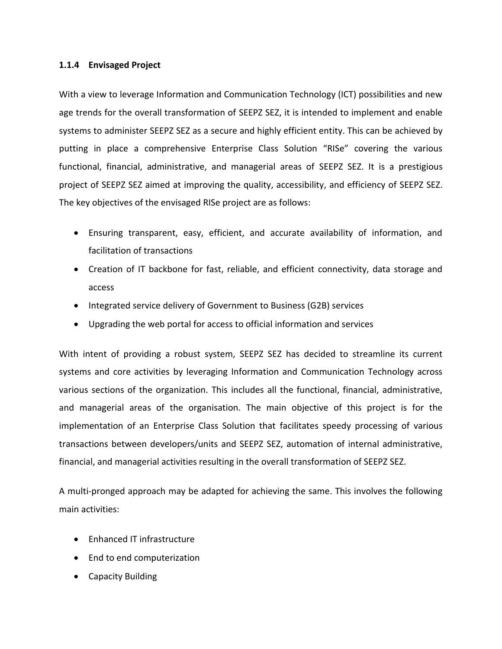#### **1.1.4 Envisaged Project**

With a view to leverage Information and Communication Technology (ICT) possibilities and new age trends for the overall transformation of SEEPZ SEZ, it is intended to implement and enable systems to administer SEEPZ SEZ as a secure and highly efficient entity. This can be achieved by putting in place a comprehensive Enterprise Class Solution "RISe" covering the various functional, financial, administrative, and managerial areas of SEEPZ SEZ. It is a prestigious project of SEEPZ SEZ aimed at improving the quality, accessibility, and efficiency of SEEPZ SEZ. The key objectives of the envisaged RISe project are as follows:

- Ensuring transparent, easy, efficient, and accurate availability of information, and facilitation of transactions
- Creation of IT backbone for fast, reliable, and efficient connectivity, data storage and access
- Integrated service delivery of Government to Business (G2B) services
- Upgrading the web portal for access to official information and services

With intent of providing a robust system, SEEPZ SEZ has decided to streamline its current systems and core activities by leveraging Information and Communication Technology across various sections of the organization. This includes all the functional, financial, administrative, and managerial areas of the organisation. The main objective of this project is for the implementation of an Enterprise Class Solution that facilitates speedy processing of various transactions between developers/units and SEEPZ SEZ, automation of internal administrative, financial, and managerial activities resulting in the overall transformation of SEEPZ SEZ.

A multi-pronged approach may be adapted for achieving the same. This involves the following main activities:

- Enhanced IT infrastructure
- End to end computerization
- Capacity Building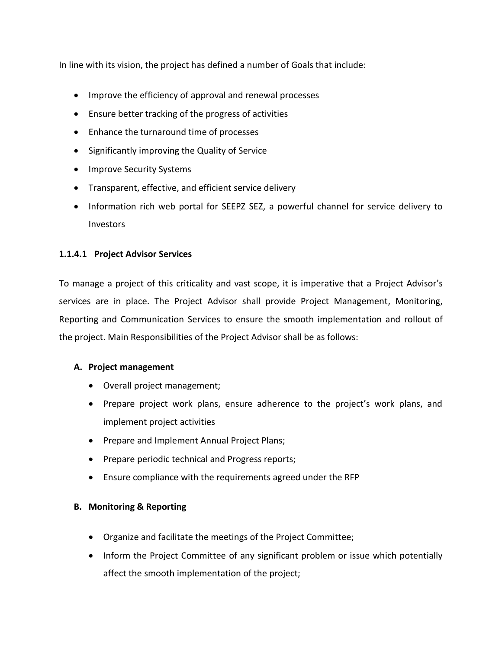In line with its vision, the project has defined a number of Goals that include:

- Improve the efficiency of approval and renewal processes
- Ensure better tracking of the progress of activities
- Enhance the turnaround time of processes
- Significantly improving the Quality of Service
- Improve Security Systems
- Transparent, effective, and efficient service delivery
- Information rich web portal for SEEPZ SEZ, a powerful channel for service delivery to Investors

## **1.1.4.1 Project Advisor Services**

To manage a project of this criticality and vast scope, it is imperative that a Project Advisor's services are in place. The Project Advisor shall provide Project Management, Monitoring, Reporting and Communication Services to ensure the smooth implementation and rollout of the project. Main Responsibilities of the Project Advisor shall be as follows:

### **A. Project management**

- Overall project management;
- Prepare project work plans, ensure adherence to the project's work plans, and implement project activities
- Prepare and Implement Annual Project Plans;
- Prepare periodic technical and Progress reports;
- Ensure compliance with the requirements agreed under the RFP

### **B. Monitoring & Reporting**

- Organize and facilitate the meetings of the Project Committee;
- Inform the Project Committee of any significant problem or issue which potentially affect the smooth implementation of the project;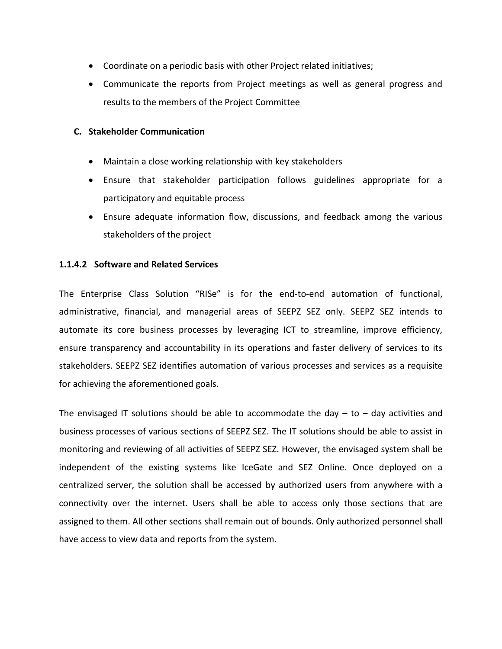- Coordinate on a periodic basis with other Project related initiatives;
- Communicate the reports from Project meetings as well as general progress and results to the members of the Project Committee

#### **C. Stakeholder Communication**

- Maintain a close working relationship with key stakeholders
- Ensure that stakeholder participation follows guidelines appropriate for a participatory and equitable process
- Ensure adequate information flow, discussions, and feedback among the various stakeholders of the project

### **1.1.4.2 Software and Related Services**

The Enterprise Class Solution "RISe" is for the end-to-end automation of functional, administrative, financial, and managerial areas of SEEPZ SEZ only. SEEPZ SEZ intends to automate its core business processes by leveraging ICT to streamline, improve efficiency, ensure transparency and accountability in its operations and faster delivery of services to its stakeholders. SEEPZ SEZ identifies automation of various processes and services as a requisite for achieving the aforementioned goals.

The envisaged IT solutions should be able to accommodate the day  $-$  to  $-$  day activities and business processes of various sections of SEEPZ SEZ. The IT solutions should be able to assist in monitoring and reviewing of all activities of SEEPZ SEZ. However, the envisaged system shall be independent of the existing systems like IceGate and SEZ Online. Once deployed on a centralized server, the solution shall be accessed by authorized users from anywhere with a connectivity over the internet. Users shall be able to access only those sections that are assigned to them. All other sections shall remain out of bounds. Only authorized personnel shall have access to view data and reports from the system.